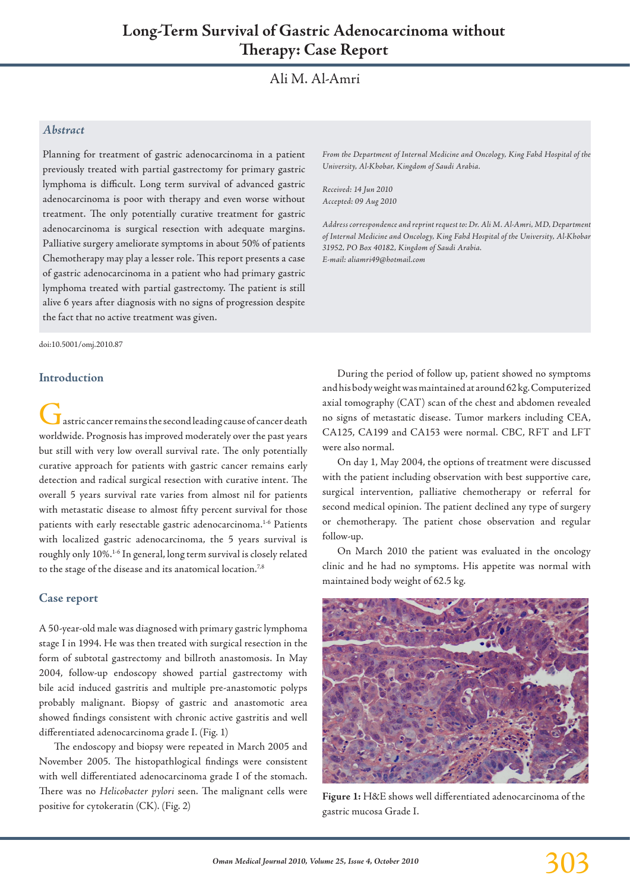# Ali M. Al-Amri

## *Abstract*

Planning for treatment of gastric adenocarcinoma in a patient previously treated with partial gastrectomy for primary gastric lymphoma is difficult. Long term survival of advanced gastric adenocarcinoma is poor with therapy and even worse without treatment. The only potentially curative treatment for gastric adenocarcinoma is surgical resection with adequate margins. Palliative surgery ameliorate symptoms in about 50% of patients Chemotherapy may play a lesser role. This report presents a case of gastric adenocarcinoma in a patient who had primary gastric lymphoma treated with partial gastrectomy. The patient is still alive 6 years after diagnosis with no signs of progression despite the fact that no active treatment was given.

doi:10.5001/omj.2010.87

#### **Introduction**

 $\blacksquare$  astric cancer remains the second leading cause of cancer death worldwide. Prognosis has improved moderately over the past years but still with very low overall survival rate. The only potentially curative approach for patients with gastric cancer remains early detection and radical surgical resection with curative intent. The overall 5 years survival rate varies from almost nil for patients with metastatic disease to almost fifty percent survival for those patients with early resectable gastric adenocarcinoma.<sup>1-6</sup> Patients with localized gastric adenocarcinoma, the 5 years survival is roughly only 10%.1-6 In general, long term survival is closely related to the stage of the disease and its anatomical location.<sup>7,8</sup>

#### **Case report**

A 50-year-old male was diagnosed with primary gastric lymphoma stage I in 1994. He was then treated with surgical resection in the form of subtotal gastrectomy and billroth anastomosis. In May 2004, follow-up endoscopy showed partial gastrectomy with bile acid induced gastritis and multiple pre-anastomotic polyps probably malignant. Biopsy of gastric and anastomotic area showed findings consistent with chronic active gastritis and well differentiated adenocarcinoma grade I. (Fig. 1)

The endoscopy and biopsy were repeated in March 2005 and November 2005. The histopathlogical findings were consistent with well differentiated adenocarcinoma grade I of the stomach. There was no *Helicobacter pylori* seen. The malignant cells were positive for cytokeratin (CK). (Fig. 2)

*From the Department of Internal Medicine and Oncology, King Fahd Hospital of the University, Al-Khobar, Kingdom of Saudi Arabia.* 

*Received: 14 Jun 2010 Accepted: 09 Aug 2010*

*Address correspondence and reprint request to: Dr. Ali M. Al-Amri, MD, Department of Internal Medicine and Oncology, King Fahd Hospital of the University, Al-Khobar 31952, PO Box 40182, Kingdom of Saudi Arabia. E-mail: aliamri49@hotmail.com*

During the period of follow up, patient showed no symptoms and his body weight was maintained at around 62 kg. Computerized axial tomography (CAT) scan of the chest and abdomen revealed no signs of metastatic disease. Tumor markers including CEA, CA125, CA199 and CA153 were normal. CBC, RFT and LFT were also normal.

On day 1, May 2004, the options of treatment were discussed with the patient including observation with best supportive care, surgical intervention, palliative chemotherapy or referral for second medical opinion. The patient declined any type of surgery or chemotherapy. The patient chose observation and regular follow-up.

On March 2010 the patient was evaluated in the oncology clinic and he had no symptoms. His appetite was normal with maintained body weight of 62.5 kg.



**Figure 1:** H&E shows well differentiated adenocarcinoma of the gastric mucosa Grade I.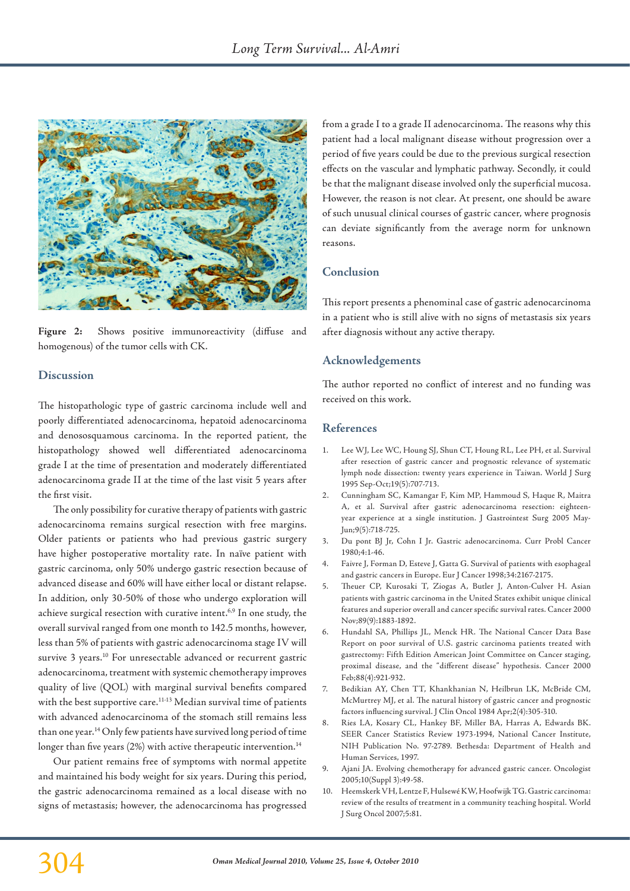

Figure 2: Shows positive immunoreactivity (diffuse and homogenous) of the tumor cells with CK.

## **Discussion**

The histopathologic type of gastric carcinoma include well and poorly differentiated adenocarcinoma, hepatoid adenocarcinoma and denososquamous carcinoma. In the reported patient, the histopathology showed well differentiated adenocarcinoma grade I at the time of presentation and moderately differentiated adenocarcinoma grade II at the time of the last visit 5 years after the first visit.

The only possibility for curative therapy of patients with gastric adenocarcinoma remains surgical resection with free margins. Older patients or patients who had previous gastric surgery have higher postoperative mortality rate. In naïve patient with gastric carcinoma, only 50% undergo gastric resection because of advanced disease and 60% will have either local or distant relapse. In addition, only 30-50% of those who undergo exploration will achieve surgical resection with curative intent.<sup>6,9</sup> In one study, the overall survival ranged from one month to 142.5 months, however, less than 5% of patients with gastric adenocarcinoma stage IV will survive 3 years.<sup>10</sup> For unresectable advanced or recurrent gastric adenocarcinoma, treatment with systemic chemotherapy improves quality of live (QOL) with marginal survival benefits compared with the best supportive care.<sup>11-13</sup> Median survival time of patients with advanced adenocarcinoma of the stomach still remains less than one year.14 Only few patients have survived long period of time longer than five years (2%) with active therapeutic intervention.<sup>14</sup>

Our patient remains free of symptoms with normal appetite and maintained his body weight for six years. During this period, the gastric adenocarcinoma remained as a local disease with no signs of metastasis; however, the adenocarcinoma has progressed

from a grade I to a grade II adenocarcinoma. The reasons why this patient had a local malignant disease without progression over a period of five years could be due to the previous surgical resection effects on the vascular and lymphatic pathway. Secondly, it could be that the malignant disease involved only the superficial mucosa. However, the reason is not clear. At present, one should be aware of such unusual clinical courses of gastric cancer, where prognosis can deviate significantly from the average norm for unknown reasons.

# **Conclusion**

This report presents a phenominal case of gastric adenocarcinoma in a patient who is still alive with no signs of metastasis six years after diagnosis without any active therapy.

# **Acknowledgements**

The author reported no conflict of interest and no funding was received on this work.

## **References**

- 1. Lee WJ, Lee WC, Houng SJ, Shun CT, Houng RL, Lee PH, et al. Survival after resection of gastric cancer and prognostic relevance of systematic lymph node dissection: twenty years experience in Taiwan. World J Surg 1995 Sep-Oct;19(5):707-713.
- 2. Cunningham SC, Kamangar F, Kim MP, Hammoud S, Haque R, Maitra A, et al. Survival after gastric adenocarcinoma resection: eighteenyear experience at a single institution. J Gastrointest Surg 2005 May-Jun;9(5):718-725.
- 3. Du pont BJ Jr, Cohn I Jr. Gastric adenocarcinoma. Curr Probl Cancer 1980;4:1-46.
- 4. Faivre J, Forman D, Esteve J, Gatta G. Survival of patients with esophageal and gastric cancers in Europe. Eur J Cancer 1998;34:2167-2175.
- 5. Theuer CP, Kurosaki T, Ziogas A, Butler J, Anton-Culver H. Asian patients with gastric carcinoma in the United States exhibit unique clinical features and superior overall and cancer specific survival rates. Cancer 2000 Nov;89(9):1883-1892.
- 6. Hundahl SA, Phillips JL, Menck HR. The National Cancer Data Base Report on poor survival of U.S. gastric carcinoma patients treated with gastrectomy: Fifth Edition American Joint Committee on Cancer staging, proximal disease, and the "different disease" hypothesis. Cancer 2000 Feb;88(4):921-932.
- 7. Bedikian AY, Chen TT, Khankhanian N, Heilbrun LK, McBride CM, McMurtrey MJ, et al. The natural history of gastric cancer and prognostic factors influencing survival. J Clin Oncol 1984 Apr;2(4):305-310.
- 8. Ries LA, Kosary CL, Hankey BF, Miller BA, Harras A, Edwards BK. SEER Cancer Statistics Review 1973-1994, National Cancer Institute, NIH Publication No. 97-2789. Bethesda: Department of Health and Human Services, 1997.
- 9. Ajani JA. Evolving chemotherapy for advanced gastric cancer. Oncologist 2005;10(Suppl 3):49-58.
- 10. Heemskerk VH, Lentze F, Hulsewé KW, Hoofwijk TG. Gastric carcinoma: review of the results of treatment in a community teaching hospital. World J Surg Oncol 2007;5:81.